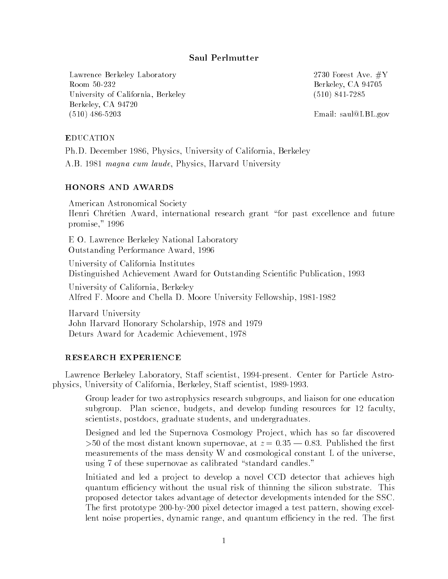## Saul Perlmutter

Lawrence Berkeley Laboratory 2730 Forest Ave. #Y Room 50-232 Berkeley, CA 94705 University of California, Berkeley (510) 841-7285 Berkeley, CA 94720 (510) 486-5203 Email: saul@LBL.gov

#### **EDUCATION**

Ph.D. December 1986, Physics, University of California, Berkeley

A.B. 1981 magna cum laude, Physics, Harvard University

American Astronomical Society Henri Chrétien Award, international research grant "for past excellence and future promise," 1996

E O. Lawrence Berkeley National Laboratory Outstanding Performance Award, 1996

University of California Institutes Distinguished Achievement Award for Outstanding Scientic Publication, 1993

University of California, Berkeley Alfred F. Moore and Chella D. Moore University Fellowship, 1981-1982

Harvard University John Harvard Honorary Scholarship, 1978 and 1979 Deturs Award for Academic Achievement, 1978

#### RESEARCH EXPERIENCE

Lawrence Berkeley Laboratory, Staff scientist, 1994-present. Center for Particle Astrophysics, University of California, Berkeley, Staff scientist, 1989-1993.

Group leader for two astrophysics research subgroups, and liaison for one education subgroup. Plan science, budgets, and develop funding resources for 12 faculty, scientists, postdocs, graduate students, and undergraduates.

Designed and led the Supernova Cosmology Project, which has so far discovered  $>50$  of the most distant known supernovae, at  $z = 0.35 - 0.83$ . Published the first measurements of the mass density W and cosmological constant L of the universe, using 7 of these supernovae as calibrated "standard candles."

Initiated and led a project to develop a novel CCD detector that achieves high quantum efficiency without the usual risk of thinning the silicon substrate. This proposed detector takes advantage of detector developments intended for the SSC. The first prototype 200-by-200 pixel detector imaged a test pattern, showing excellent noise properties, dynamic range, and quantum efficiency in the red. The first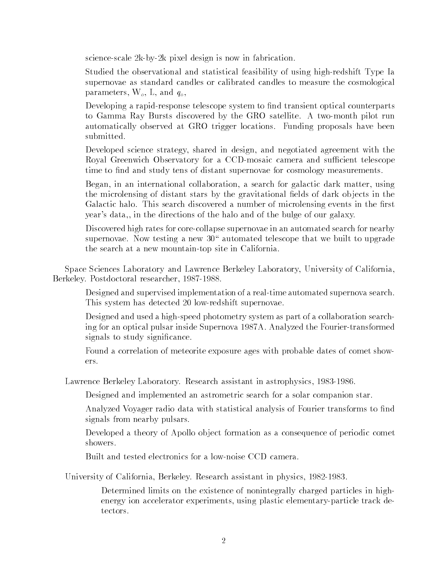science-scale 2k-by-2k pixel design is now in fabrication.

Studied the observational and statistical feasibility of using high-redshift Type Ia supernovae as standard candles or calibrated candles to measure the cosmological parameters,  $W_o$ , L, and  $q_o$ ,

Developing a rapid-response telescope system to find transient optical counterparts to Gamma Ray Bursts discovered by the GRO satellite. A two-month pilot run automatically observed at GRO trigger locations. Funding proposals have been submitted.

Developed science strategy, shared in design, and negotiated agreement with the Royal Greenwich Observatory for a CCD-mosaic camera and sufficient telescope time to find and study tens of distant supernovae for cosmology measurements.

Began, in an international collaboration, a search for galactic dark matter, using the microlensing of distant stars by the gravitational fields of dark objects in the Galactic halo. This search discovered a number of microlensing events in the first year's data,, in the directions of the halo and of the bulge of our galaxy.

Discovered high rates for core-collapse supernovae in an automated search for nearby supernovae. Now testing a new  $30^\circ$  automated telescope that we built to upgrade the search at a new mountain-top site in California.

Space Sciences Laboratory and Lawrence Berkeley Laboratory, University of California, Berkeley. Postdoctoral researcher, 1987-1988.

Designed and supervised implementation of a real-time automated supernova search. This system has detected 20 low-redshift supernovae.

Designed and used a high-speed photometry system as part of a collaboration searching for an optical pulsar inside Supernova 1987A. Analyzed the Fourier-transformed signals to study signicance.

Found a correlation of meteorite exposure ages with probable dates of comet showers.

Lawrence Berkeley Laboratory. Research assistant in astrophysics, 1983-1986.

Designed and implemented an astrometric search for a solar companion star.

Analyzed Voyager radio data with statistical analysis of Fourier transforms to find signals from nearby pulsars.

Developed a theory of Apollo object formation as a consequence of periodic comet showers.

Built and tested electronics for a low-noise CCD camera.

University of California, Berkeley. Research assistant in physics, 1982-1983.

Determined limits on the existence of nonintegrally charged particles in highenergy ion accelerator experiments, using plastic elementary-particle track detectors.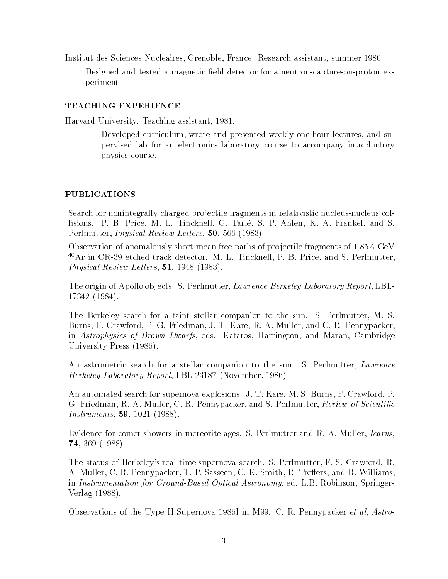Institut des Sciences Nucleaires, Grenoble, France. Research assistant, summer 1980.

Designed and tested a magnetic field detector for a neutron-capture-on-proton experiment.

### **TEACHING EXPERIENCE**

Harvard University. Teaching assistant, 1981.

Developed curriculum, wrote and presented weekly one-hour lectures, and supervised lab for an electronics laboratory course to accompany introductory physics course.

### **PUBLICATIONS**

Search for nonintegrally charged pro jectile fragments in relativistic nucleus-nucleus collisions. P. B. Price, M. L. Tincknell, G. Tarle, S. P. Ahlen, K. A. Frankel, and S. Perlmutter, Physical Review Letters, 50, 566 (1983).

Observation of anomalously short mean free paths of projectile fragments of 1.85A-GeV 40Ar in CR-39 etched track detector. M. L. Tincknell, P. B. Price, and S. Perlmutter, Physical Review Letters, 51, 1948 (1983).

The origin of Apollo objects. S. Perlmutter, *Lawrence Berkeley Laboratory Report*, LBL-17342 (1984).

The Berkeley search for a faint stellar companion to the sun. S. Perlmutter, M. S. Burns, F. Crawford, P. G. Friedman, J. T. Kare, R. A. Muller, and C. R. Pennypacker, in Astrophysics of Brown Dwarfs, eds. Kafatos, Harrington, and Maran, Cambridge University Press (1986).

An astrometric search for a stellar companion to the sun. S. Perlmutter, *Lawrence* Berkeley Laboratory Report, LBL-23187 (November, 1986).

An automated search for supernova explosions. J. T. Kare, M. S. Burns, F. Crawford, P. G. Friedman, R. A. Muller, C. R. Pennypacker, and S. Perlmutter, Review of Scientific Instruments, 59, 1021 (1988).

Evidence for comet showers in meteorite ages. S. Perlmutter and R. A. Muller, *Icarus*, 74, 369 (1988).

The status of Berkeley's real-time supernova search. S. Perlmutter, F. S. Crawford, R. A. Muller, C. R. Pennypacker, T. P. Sasseen, C. K. Smith, R. Treffers, and R. Williams, in Instrumentation for Ground-Based Optical Astronomy, ed. L.B. Robinson, Springer-Verlag (1988).

Observations of the Type II Supernova 1986I in M99. C. R. Pennypacker et al, Astro-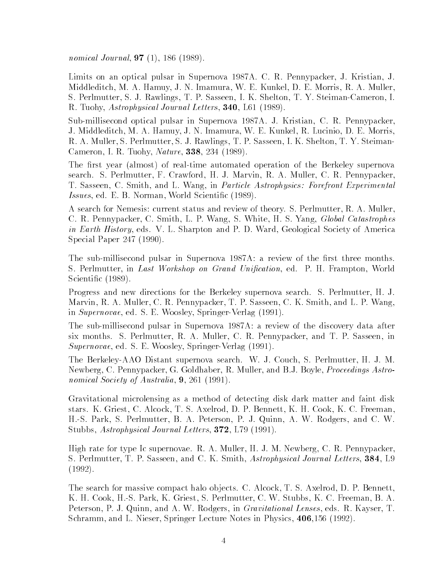nomical Journal, **97** (1), 186 (1989).

Limits on an optical pulsar in Supernova 1987A. C. R. Pennypacker, J. Kristian, J. Middleditch, M. A. Hamuy, J. N. Imamura, W. E. Kunkel, D. E. Morris, R. A. Muller, S. Perlmutter, S. J. Rawlings, T. P. Sasseen, I. K. Shelton, T. Y. Steiman-Cameron, I. R. Tuohy, Astrophysical Journal Letters, 340, L61 (1989).

Sub-millisecond optical pulsar in Supernova 1987A. J. Kristian, C. R. Pennypacker, J. Middleditch, M. A. Hamuy, J. N. Imamura, W. E. Kunkel, R. Lucinio, D. E. Morris, R. A. Muller, S. Perlmutter, S. J. Rawlings, T. P. Sasseen, I. K. Shelton, T. Y. Steiman-Cameron, I. R. Tuohy, Nature, 338, 234 (1989).

The first year (almost) of real-time automated operation of the Berkeley supernova search. S. Perlmutter, F. Crawford, H. J. Marvin, R. A. Muller, C. R. Pennypacker, T. Sasseen, C. Smith, and L. Wang, in Particle Astrophysics: Forefront Experimental Issues, ed. E. B. Norman, World Scientic (1989).

A search for Nemesis: current status and review of theory. S. Perlmutter, R. A. Muller, C. R. Pennypacker, C. Smith, L. P. Wang, S. White, H. S. Yang, Global Catastrophes in Earth History, eds. V. L. Sharpton and P. D. Ward, Geological Society of America Special Paper 247 (1990).

The sub-millisecond pulsar in Supernova 1987A: a review of the first three months. S. Perlmutter, in Last Workshop on Grand Unification, ed. P. H. Frampton, World Scientic (1989).

Progress and new directions for the Berkeley supernova search. S. Perlmutter, H. J. Marvin, R. A. Muller, C. R. Pennypacker, T. P. Sasseen, C. K. Smith, and L. P. Wang, in Supernovae, ed. S. E. Woosley, Springer-Verlag (1991).

The sub-millisecond pulsar in Supernova 1987A: a review of the discovery data after six months. S. Perlmutter, R. A. Muller, C. R. Pennypacker, and T. P. Sasseen, in Supernovae, ed. S. E. Woosley, Springer-Verlag (1991).

The Berkeley-AAO Distant supernova search. W. J. Couch, S. Perlmutter, H. J. M. Newberg, C. Pennypacker, G. Goldhaber, R. Muller, and B.J. Boyle, Proceedings Astronomical Society of Australia, 9, 261 (1991).

Gravitational microlensing as a method of detecting disk dark matter and faint disk stars. K. Griest, C. Alcock, T. S. Axelrod, D. P. Bennett, K. H. Cook, K. C. Freeman, H.-S. Park, S. Perlmutter, B. A. Peterson, P. J. Quinn, A. W. Rodgers, and C. W. Stubbs, Astrophysical Journal Letters, 372, L79 (1991).

High rate for type Ic supernovae. R. A. Muller, H. J. M. Newberg, C. R. Pennypacker, S. Perlmutter, T. P. Sasseen, and C. K. Smith, Astrophysical Journal Letters, 384, L9 (1992).

The search for massive compact halo objects. C. Alcock, T. S. Axelrod, D. P. Bennett, K. H. Cook, H.-S. Park, K. Griest, S. Perlmutter, C. W. Stubbs, K. C. Freeman, B. A. Peterson, P. J. Quinn, and A. W. Rodgers, in *Gravitational Lenses*, eds. R. Kayser, T. Schramm, and L. Nieser, Springer Lecture Notes in Physics, 406,156 (1992).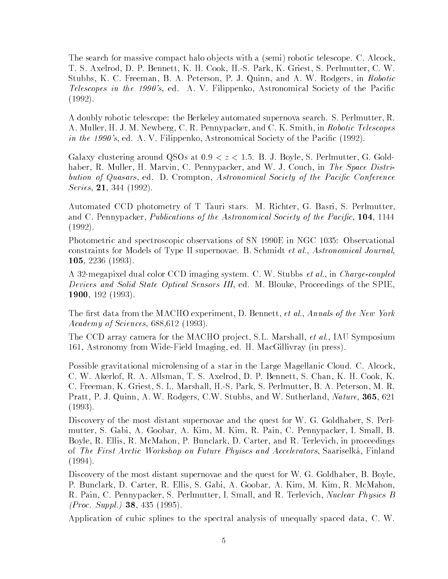The search for massive compact halo objects with a (semi) robotic telescope. C. Alcock, T. S. Axelrod, D. P. Bennett, K. H. Cook, H.-S. Park, K. Griest, S. Perlmutter, C. W. Stubbs, K. C. Freeman, B. A. Peterson, P. J. Quinn, and A. W. Rodgers, in Robotic Telescopes in the 1990's, ed. A. V. Filippenko, Astronomical Society of the Pacific (1992).

A doubly robotic telescope: the Berkeley automated supernova search. S. Perlmutter, R. A. Muller, H. J. M. Newberg, C. R. Pennypacker, and C. K. Smith, in Robotic Telescopes *in the 1990's*, ed. A. V. Filippenko, Astronomical Society of the Pacific  $(1992)$ .

Galaxy clustering around QSOs at  $0.9 < z < 1.5$ . B. J. Boyle, S. Perlmutter, G. Goldhaber, R. Muller, H. Marvin, C. Pennypacker, and W. J. Couch, in The Space Distribution of Quasars, ed. D. Crompton, Astronomical Society of the Pacific Conference Series, 21, 344 (1992).

Automated CCD photometry of T Tauri stars. M. Richter, G. Basri, S. Perlmutter, and C. Pennypacker, Publications of the Astronomical Society of the Pacific, 104, 1144 (1992).

Photometric and spectroscopic observations of SN 1990E in NGC 1035: Observational constraints for Models of Type II supernovae. B. Schmidt et al., Astronomical Journal, 105, 2236 (1993).

A 32-megapixel dual color CCD imaging system. C. W. Stubbs et al., in Charge-coupled Devices and Solid State Optical Sensors III, ed. M. Blouke, Proceedings of the SPIE, 1900, 192 (1993).

The first data from the MACHO experiment, D. Bennett, et al., Annals of the New York Academy of Sciences, 688,612 (1993).

The CCD array camera for the MACHO project, S.L. Marshall, et al., IAU Symposium 161, Astronomy from Wide-Field Imaging, ed. H. MacGillivray (in press).

Possible gravitational microlensing of a star in the Large Magellanic Cloud. C. Alcock, C. W. Akerlof, R. A. Allsman, T. S. Axelrod, D. P. Bennett, S. Chan, K. H. Cook, K. C. Freeman, K. Griest, S. L. Marshall, H.-S. Park, S. Perlmutter, B. A. Peterson, M. R. Pratt, P. J. Quinn, A. W. Rodgers, C.W. Stubbs, and W. Sutherland, *Nature*, **365**, 621 (1993).

Discovery of the most distant supernovae and the quest for W. G. Goldhaber, S. Perlmutter, S. Gabi, A. Goobar, A. Kim, M. Kim, R. Pain, C. Pennypacker, I. Small, B. Boyle, R. Ellis, R. McMahon, P. Bunclark, D. Carter, and R. Terlevich, in proceedings of The First Arctic Workshop on Future Phyiscs and Accelerators, Saariselka, Finland (1994).

Discovery of the most distant supernovae and the quest for W. G. Goldhaber, B. Boyle, P. Bunclark, D. Carter, R. Ellis, S. Gabi, A. Goobar, A. Kim, M. Kim, R. McMahon, R. Pain, C. Pennypacker, S. Perlmutter, I. Small, and R. Terlevich, *Nuclear Physics B* (*Proc. Suppl.*) **38**, 435 (1995).

Application of cubic splines to the spectral analysis of unequally spaced data, C. W.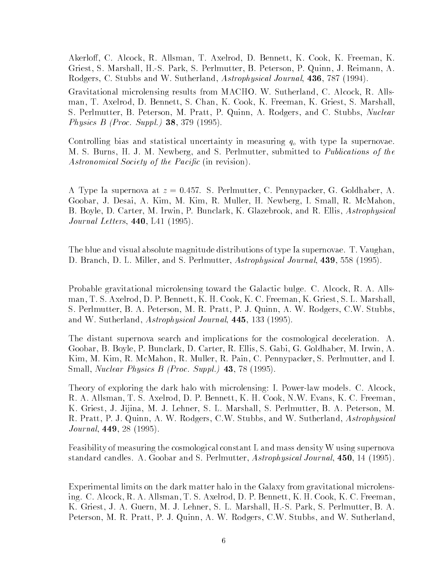Akerlo, C. Alcock, R. Allsman, T. Axelrod, D. Bennett, K. Cook, K. Freeman, K. Griest, S. Marshall, H.-S. Park, S. Perlmutter, B. Peterson, P. Quinn, J. Reimann, A. Rodgers, C. Stubbs and W. Sutherland, Astrophysical Journal, 436, 787 (1994).

Gravitational microlensing results from MACHO. W. Sutherland, C. Alcock, R. Allsman, T. Axelrod, D. Bennett, S. Chan, K. Cook, K. Freeman, K. Griest, S. Marshall, S. Perlmutter, B. Peterson, M. Pratt, P. Quinn, A. Rodgers, and C. Stubbs, Nuclear Physics B (Proc. Suppl.) 38, 379 (1995).

Controlling bias and statistical uncertainty in measuring  $q_0$  with type Ia supernovae. M. S. Burns, H. J. M. Newberg, and S. Perlmutter, submitted to Publications of the Astronomical Society of the Pacific (in revision).

A Type Ia supernova at  $z = 0.457$ . S. Perlmutter, C. Pennypacker, G. Goldhaber, A. Goobar, J. Desai, A. Kim, M. Kim, R. Muller, H. Newberg, I. Small, R. McMahon, B. Boyle, D. Carter, M. Irwin, P. Bunclark, K. Glazebrook, and R. Ellis, Astrophysical Journal Letters, 440, L41 (1995).

The blue and visual absolute magnitude distributions of type Ia supernovae. T. Vaughan, D. Branch, D. L. Miller, and S. Perlmutter, Astrophysical Journal, 439, 558 (1995).

Probable gravitational microlensing toward the Galactic bulge. C. Alcock, R. A. Allsman, T. S. Axelrod, D. P. Bennett, K. H. Cook, K. C. Freeman, K. Griest, S. L. Marshall, S. Perlmutter, B. A. Peterson, M. R. Pratt, P. J. Quinn, A. W. Rodgers, C.W. Stubbs, and W. Sutherland, Astrophysical Journal, 445, 133 (1995).

The distant supernova search and implications for the cosmological deceleration. A. Goobar, B. Boyle, P. Bunclark, D. Carter, R. Ellis, S. Gabi, G. Goldhaber, M. Irwin, A. Kim, M. Kim, R. McMahon, R. Muller, R. Pain, C. Pennypacker, S. Perlmutter, and I. Small, *Nuclear Physics B (Proc. Suppl.)* **43**, 78 (1995).

Theory of exploring the dark halo with microlensing: I. Power-law models. C. Alcock, R. A. Allsman, T. S. Axelrod, D. P. Bennett, K. H. Cook, N.W. Evans, K. C. Freeman, K. Griest, J. Jijina, M. J. Lehner, S. L. Marshall, S. Perlmutter, B. A. Peterson, M. R. Pratt, P. J. Quinn, A. W. Rodgers, C.W. Stubbs, and W. Sutherland, Astrophysical Journal, 449, 28 (1995).

Feasibility of measuring the cosmological constant L and mass density W using supernova standard candles. A. Goobar and S. Perlmutter, Astrophysical Journal, 450, 14 (1995).

Experimental limits on the dark matter halo in the Galaxy from gravitational microlensing. C. Alcock, R. A. Allsman, T. S. Axelrod, D. P. Bennett, K. H. Cook, K. C. Freeman, K. Griest, J. A. Guern, M. J. Lehner, S. L. Marshall, H.-S. Park, S. Perlmutter, B. A. Peterson, M. R. Pratt, P. J. Quinn, A. W. Rodgers, C.W. Stubbs, and W. Sutherland,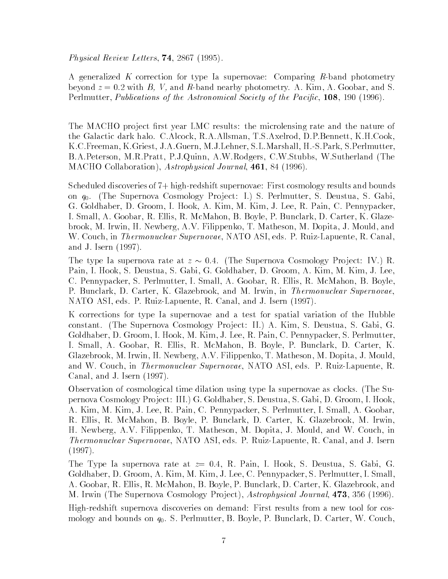Physical Review Letters, 74, 2867 (1995).

A generalized K correction for type Ia supernovae: Comparing R-band photometry beyond  $z = 0.2$  with B, V, and R-band nearby photometry. A. Kim, A. Goobar, and S. Perlmutter, Publications of the Astronomical Society of the Pacific, 108, 190 (1996).

The MACHO project first year LMC results: the microlensing rate and the nature of the Galactic dark halo. C.Alcock, R.A.Allsman, T.S.Axelrod, D.P.Bennett, K.H.Cook, K.C.Freeman, K.Griest, J.A.Guern, M.J.Lehner, S.L.Marshall, H.-S.Park, S.Perlmutter, B.A.Peterson, M.R.Pratt, P.J.Quinn, A.W.Rodgers, C.W.Stubbs, W.Sutherland (The MACHO Collaboration), Astrophysical Journal, 461, 84 (1996).

Scheduled discoveries of 7+ high-redshift supernovae: First cosmology results and bounds on  $q_0$ . (The Supernova Cosmology Project: I.) S. Perlmutter, S. Deustua, S. Gabi, G. Goldhaber, D. Groom, I. Hook, A. Kim, M. Kim, J. Lee, R. Pain, C. Pennypacker, I. Small, A. Goobar, R. Ellis, R. McMahon, B. Boyle, P. Bunclark, D. Carter, K. Glazebrook, M. Irwin, H. Newberg, A.V. Filippenko, T. Matheson, M. Dopita, J. Mould, and W. Couch, in Thermonuclear Supernovae, NATO ASI, eds. P. Ruiz-Lapuente, R. Canal, and J. Isern (1997).

The type Ia supernova rate at  $z \sim 0.4$ . (The Supernova Cosmology Project: IV.) R. Pain, I. Hook, S. Deustua, S. Gabi, G. Goldhaber, D. Groom, A. Kim, M. Kim, J. Lee, C. Pennypacker, S. Perlmutter, I. Small, A. Goobar, R. Ellis, R. McMahon, B. Boyle, P. Bunclark, D. Carter, K. Glazebrook, and M. Irwin, in *Thermonuclear Supernovae*, NATO ASI, eds. P. Ruiz-Lapuente, R. Canal, and J. Isern (1997).

K corrections for type Ia supernovae and a test for spatial variation of the Hubble constant. (The Supernova Cosmology Project: II.) A. Kim, S. Deustua, S. Gabi, G. Goldhaber, D. Groom, I. Hook, M. Kim, J. Lee, R. Pain, C. Pennypacker, S. Perlmutter, I. Small, A. Goobar, R. Ellis, R. McMahon, B. Boyle, P. Bunclark, D. Carter, K. Glazebrook, M. Irwin, H. Newberg, A.V. Filippenko, T. Matheson, M. Dopita, J. Mould, and W. Couch, in Thermonuclear Supernovae, NATO ASI, eds. P. Ruiz-Lapuente, R. Canal, and J. Isern (1997).

Observation of cosmological time dilation using type Ia supernovae as clocks. (The Supernova Cosmology Pro ject: III.) G. Goldhaber, S. Deustua, S. Gabi, D. Groom, I. Hook, A. Kim, M. Kim, J. Lee, R. Pain, C. Pennypacker, S. Perlmutter, I. Small, A. Goobar, R. Ellis, R. McMahon, B. Boyle, P. Bunclark, D. Carter, K. Glazebrook, M. Irwin, H. Newberg, A.V. Filippenko, T. Matheson, M. Dopita, J. Mould, and W. Couch, in Thermonuclear Supernovae, NATO ASI, eds. P. Ruiz-Lapuente, R. Canal, and J. Isern (1997).

The Type Ia supernova rate at  $z=0.4$ , R. Pain, I. Hook, S. Deustua, S. Gabi, G. Goldhaber, D. Groom, A. Kim, M. Kim, J. Lee, C. Pennypacker, S. Perlmutter, I. Small, A. Goobar, R. Ellis, R. McMahon, B. Boyle, P. Bunclark, D. Carter, K. Glazebrook, and M. Irwin (The Supernova Cosmology Project), Astrophysical Journal, 473, 356 (1996).

High-redshift supernova discoveries on demand: First results from a new tool for cosmology and bounds on  $q_0$ . S. Perlmutter, B. Boyle, P. Bunclark, D. Carter, W. Couch,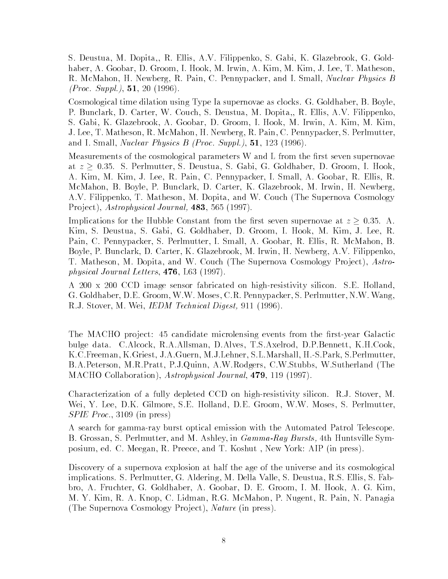S. Deustua, M. Dopita,, R. Ellis, A.V. Filippenko, S. Gabi, K. Glazebrook, G. Goldhaber, A. Goobar, D. Groom, I. Hook, M. Irwin, A. Kim, M. Kim, J. Lee, T. Matheson, R. McMahon, H. Newberg, R. Pain, C. Pennypacker, and I. Small, Nuclear Physics B  $(Proc. Suppl.), 51, 20 (1996).$ 

Cosmological time dilation using Type Ia supernovae as clocks. G. Goldhaber, B. Boyle, P. Bunclark, D. Carter, W. Couch, S. Deustua, M. Dopita,, R. Ellis, A.V. Filippenko, S. Gabi, K. Glazebrook, A. Goobar, D. Groom, I. Hook, M. Irwin, A. Kim, M. Kim, J. Lee, T. Matheson, R. McMahon, H. Newberg, R. Pain, C. Pennypacker, S. Perlmutter, and I. Small, *Nuclear Physics B (Proc. Suppl.)*, **51**, 123 (1996).

Measurements of the cosmological parameters W and L from the first seven supernovae at  $z \geq 0.35$ . S. Perlmutter, S. Deustua, S. Gabi, G. Goldhaber, D. Groom, I. Hook, A. Kim, M. Kim, J. Lee, R. Pain, C. Pennypacker, I. Small, A. Goobar, R. Ellis, R. McMahon, B. Boyle, P. Bunclark, D. Carter, K. Glazebrook, M. Irwin, H. Newberg, A.V. Filippenko, T. Matheson, M. Dopita, and W. Couch (The Supernova Cosmology Project), Astrophysical Journal, 483, 565 (1997).

Implications for the Hubble Constant from the first seven supernovae at  $z \geq 0.35$ . A. Kim, S. Deustua, S. Gabi, G. Goldhaber, D. Groom, I. Hook, M. Kim, J. Lee, R. Pain, C. Pennypacker, S. Perlmutter, I. Small, A. Goobar, R. Ellis, R. McMahon, B. Boyle, P. Bunclark, D. Carter, K. Glazebrook, M. Irwin, H. Newberg, A.V. Filippenko, T. Matheson, M. Dopita, and W. Couch (The Supernova Cosmology Project), Astrophysical Journal Letters, 476, L63 (1997).

A 200 x 200 CCD image sensor fabricated on high-resistivity silicon. S.E. Holland, G. Goldhaber, D.E. Groom, W.W. Moses, C.R. Pennypacker, S. Perlmutter, N.W. Wang, R.J. Stover, M. Wei, *IEDM Technical Digest*, 911 (1996).

The MACHO project: 45 candidate microlensing events from the first-year Galactic bulge data. C.Alcock, R.A.Allsman, D.Alves, T.S.Axelrod, D.P.Bennett, K.H.Cook, K.C.Freeman, K.Griest, J.A.Guern, M.J.Lehner, S.L.Marshall, H.-S.Park, S.Perlmutter, B.A.Peterson, M.R.Pratt, P.J.Quinn, A.W.Rodgers, C.W.Stubbs, W.Sutherland (The MACHO Collaboration), Astrophysical Journal, 479, 119 (1997).

Characterization of a fully depleted CCD on high-resistivity silicon. R.J. Stover, M. Wei, Y. Lee, D.K. Gilmore, S.E. Holland, D.E. Groom, W.W. Moses, S. Perlmutter, SPIE Proc., 3109 (in press)

A search for gamma-ray burst optical emission with the Automated Patrol Telescope. B. Grossan, S. Perlmutter, and M. Ashley, in *Gamma-Ray Bursts*, 4th Huntsville Symposium, ed. C. Meegan, R. Preece, and T. Koshut , New York: AIP (in press).

Discovery of a supernova explosion at half the age of the universe and its cosmological implications. S. Perlmutter, G. Aldering, M. Della Valle, S. Deustua, R.S. Ellis, S. Fabbro, A. Fruchter, G. Goldhaber, A. Goobar, D. E. Groom, I. M. Hook, A. G. Kim, M. Y. Kim, R. A. Knop, C. Lidman, R.G. McMahon, P. Nugent, R. Pain, N. Panagia (The Supernova Cosmology Project), Nature (in press).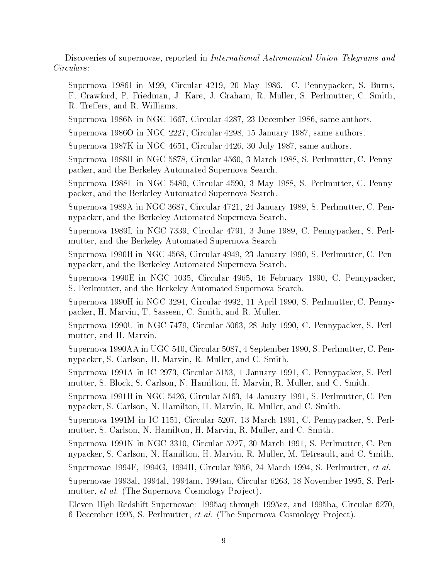Discoveries of supernovae, reported in International Astronomical Union Telegrams and Circulars:

Supernova 1986I in M99, Circular 4219, 20 May 1986. C. Pennypacker, S. Burns, F. Crawford, P. Friedman, J. Kare, J. Graham, R. Muller, S. Perlmutter, C. Smith, R. Treffers, and R. Williams.

Supernova 1986N in NGC 1667, Circular 4287, 23 December 1986, same authors.

Supernova 1986O in NGC 2227, Circular 4298, 15 January 1987, same authors.

Supernova 1987K in NGC 4651, Circular 4426, 30 July 1987, same authors.

Supernova 1988H in NGC 5878, Circular 4560, 3 March 1988, S. Perlmutter, C. Pennypacker, and the Berkeley Automated Supernova Search.

Supernova 1988L in NGC 5480, Circular 4590, 3 May 1988, S. Perlmutter, C. Pennypacker, and the Berkeley Automated Supernova Search.

Supernova 1989A in NGC 3687, Circular 4721, 24 January 1989, S. Perlmutter, C. Pennypacker, and the Berkeley Automated Supernova Search.

Supernova 1989L in NGC 7339, Circular 4791, 3 June 1989, C. Pennypacker, S. Perlmutter, and the Berkeley Automated Supernova Search

Supernova 1990B in NGC 4568, Circular 4949, 23 January 1990, S. Perlmutter, C. Pennypacker, and the Berkeley Automated Supernova Search.

Supernova 1990E in NGC 1035, Circular 4965, 16 February 1990, C. Pennypacker, S. Perlmutter, and the Berkeley Automated Supernova Search.

Supernova 1990H in NGC 3294, Circular 4992, 11 April 1990, S. Perlmutter, C. Pennypacker, H. Marvin, T. Sasseen, C. Smith, and R. Muller.

Supernova 1990U in NGC 7479, Circular 5063, 28 July 1990, C. Pennypacker, S. Perlmutter, and H. Marvin.

Supernova 1990AA in UGC 540, Circular 5087, 4 September 1990, S. Perlmutter, C. Pennypacker, S. Carlson, H. Marvin, R. Muller, and C. Smith.

Supernova 1991A in IC 2973, Circular 5153, 1 January 1991, C. Pennypacker, S. Perlmutter, S. Block, S. Carlson, N. Hamilton, H. Marvin, R. Muller, and C. Smith.

Supernova 1991B in NGC 5426, Circular 5163, 14 January 1991, S. Perlmutter, C. Pennypacker, S. Carlson, N. Hamilton, H. Marvin, R. Muller, and C. Smith.

Supernova 1991M in IC 1151, Circular 5207, 13 March 1991, C. Pennypacker, S. Perlmutter, S. Carlson, N. Hamilton, H. Marvin, R. Muller, and C. Smith.

Supernova 1991N in NGC 3310, Circular 5227, 30 March 1991, S. Perlmutter, C. Pennypacker, S. Carlson, N. Hamilton, H. Marvin, R. Muller, M. Tetreault, and C. Smith.

Supernovae 1994F, 1994G, 1994H, Circular 5956, 24 March 1994, S. Perlmutter, et al.

Supernovae 1993al, 1994al, 1994am, 1994an, Circular 6263, 18 November 1995, S. Perlmutter, *et al.* (The Supernova Cosmology Project).

Eleven High-Redshift Supernovae: 1995aq through 1995az, and 1995ba, Circular 6270, 6 December 1995, S. Perlmutter, et al. (The Supernova Cosmology Project).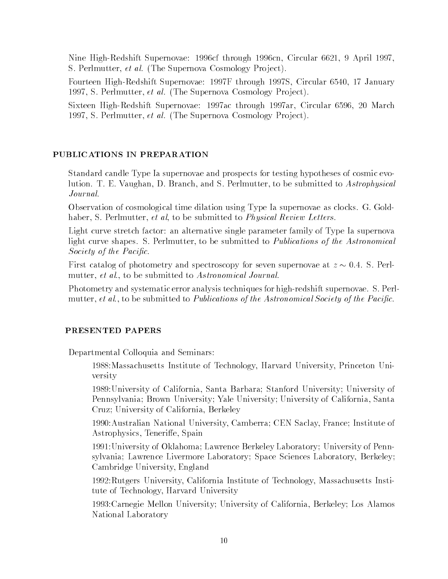Nine High-Redshift Supernovae: 1996cf through 1996cn, Circular 6621, 9 April 1997, S. Perlmutter, et al. (The Supernova Cosmology Project).

Fourteen High-Redshift Supernovae: 1997F through 1997S, Circular 6540, 17 January 1997, S. Perlmutter, et al. (The Supernova Cosmology Project).

Sixteen High-Redshift Supernovae: 1997ac through 1997ar, Circular 6596, 20 March 1997, S. Perlmutter, et al. (The Supernova Cosmology Project).

# PUBLICATIONS IN PREPARATION

Standard candle Type Ia supernovae and prospects for testing hypotheses of cosmic evolution. T. E. Vaughan, D. Branch, and S. Perlmutter, to be submitted to Astrophysical Journal.

Observation of cosmological time dilation using Type Ia supernovae as clocks. G. Goldhaber, S. Perlmutter, et al, to be submitted to Physical Review Letters.

Light curve stretch factor: an alternative single parameter family of Type Ia supernova light curve shapes. S. Perlmutter, to be submitted to Publications of the Astronomical Society of the Pacific.

First catalog of photometry and spectroscopy for seven supernovae at  $z \sim 0.4$ . S. Perlmutter, *et al.*, to be submitted to Astronomical Journal.

Photometry and systematic error analysis techniques for high-redshift supernovae. S. Perlmutter, *et al.*, to be submitted to *Publications of the Astronomical Society of the Pacific.* 

## PRESENTED PAPERS

Departmental Colloquia and Seminars:

1988:Massachusetts Institute of Technology, Harvard University, Princeton University

1989:University of California, Santa Barbara; Stanford University; University of Pennsylvania; Brown University; Yale University; University of California, Santa Cruz; University of California, Berkeley

1990:Australian National University, Camberra; CEN Saclay, France; Institute of Astrophysics, Teneriffe, Spain

1991:University of Oklahoma; Lawrence Berkeley Laboratory; University of Pennsylvania; Lawrence Livermore Laboratory; Space Sciences Laboratory, Berkeley; Cambridge University, England

1992:Rutgers University, California Institute of Technology, Massachusetts Institute of Technology, Harvard University

1993:Carnegie Mellon University; University of California, Berkeley; Los Alamos National Laboratory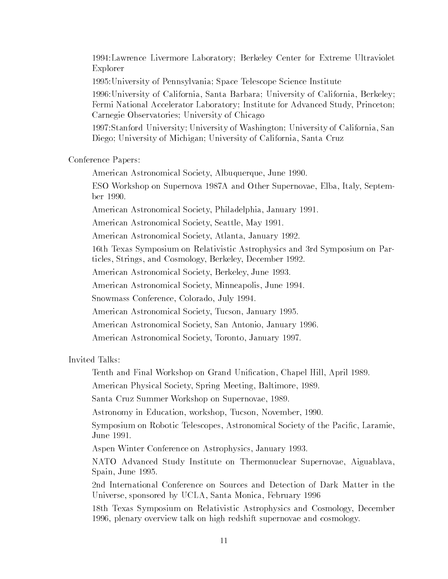1994:Lawrence Livermore Laboratory; Berkeley Center for Extreme Ultraviolet Explorer

1995:University of Pennsylvania; Space Telescope Science Institute

1996:University of California, Santa Barbara; University of California, Berkeley; Fermi National Accelerator Laboratory; Institute for Advanced Study, Princeton; Carnegie Observatories; University of Chicago

1997:Stanford University; University of Washington; University of California, San Diego; University of Michigan; University of California, Santa Cruz

Conference Papers:

American Astronomical Society, Albuquerque, June 1990.

ESO Workshop on Supernova 1987A and Other Supernovae, Elba, Italy, September 1990.

American Astronomical Society, Philadelphia, January 1991.

American Astronomical Society, Seattle, May 1991.

American Astronomical Society, Atlanta, January 1992.

16th Texas Symposium on Relativistic Astrophysics and 3rd Symposium on Particles, Strings, and Cosmology, Berkeley, December 1992.

American Astronomical Society, Berkeley, June 1993.

American Astronomical Society, Minneapolis, June 1994.

Snowmass Conference, Colorado, July 1994.

American Astronomical Society, Tucson, January 1995.

American Astronomical Society, San Antonio, January 1996.

American Astronomical Society, Toronto, January 1997.

Invited Talks:

Tenth and Final Workshop on Grand Unication, Chapel Hill, April 1989.

American Physical Society, Spring Meeting, Baltimore, 1989.

Santa Cruz Summer Workshop on Supernovae, 1989.

Astronomy in Education, workshop, Tucson, November, 1990.

Symposium on Robotic Telescopes, Astronomical Society of the Pacific, Laramie, June 1991.

Aspen Winter Conference on Astrophysics, January 1993.

NATO Advanced Study Institute on Thermonuclear Supernovae, Aiguablava, Spain, June 1995.

2nd International Conference on Sources and Detection of Dark Matter in the Universe, sponsored by UCLA, Santa Monica, February 1996

18th Texas Symposium on Relativistic Astrophysics and Cosmology, December 1996, plenary overview talk on high redshift supernovae and cosmology.